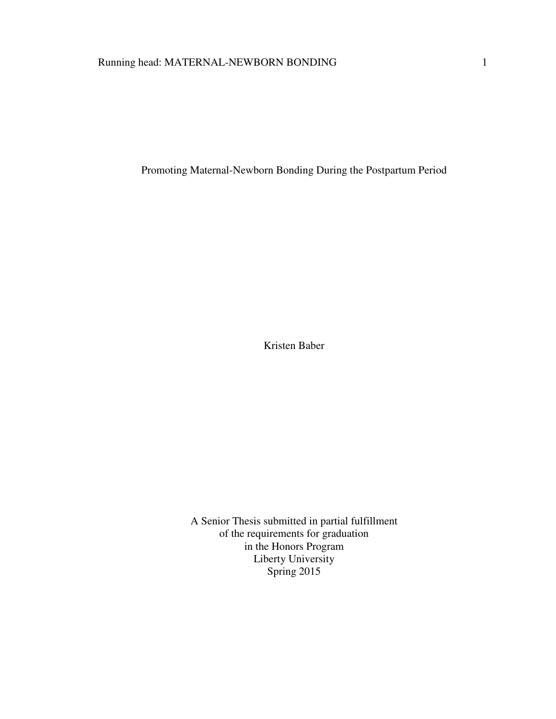Promoting Maternal-Newborn Bonding During the Postpartum Period

Kristen Baber

A Senior Thesis submitted in partial fulfillment of the requirements for graduation in the Honors Program Liberty University Spring 2015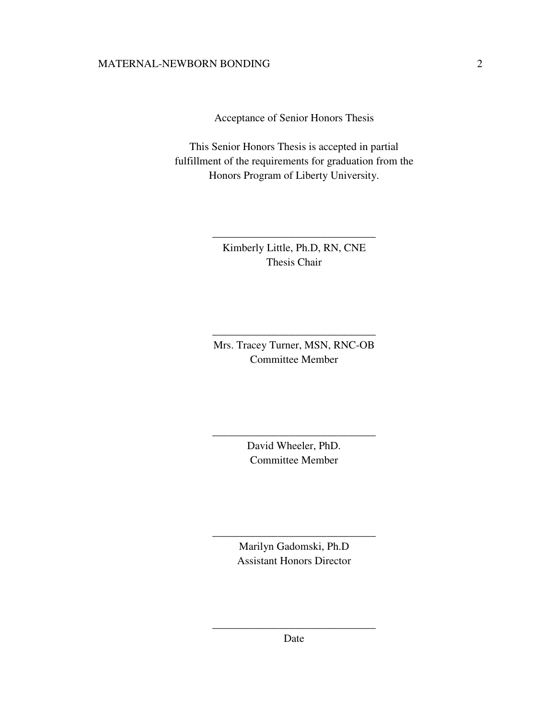Acceptance of Senior Honors Thesis

This Senior Honors Thesis is accepted in partial fulfillment of the requirements for graduation from the Honors Program of Liberty University.

> Kimberly Little, Ph.D, RN, CNE Thesis Chair

\_\_\_\_\_\_\_\_\_\_\_\_\_\_\_\_\_\_\_\_\_\_\_\_\_\_\_\_\_\_

Mrs. Tracey Turner, MSN, RNC-OB Committee Member

\_\_\_\_\_\_\_\_\_\_\_\_\_\_\_\_\_\_\_\_\_\_\_\_\_\_\_\_\_\_

David Wheeler, PhD. Committee Member

\_\_\_\_\_\_\_\_\_\_\_\_\_\_\_\_\_\_\_\_\_\_\_\_\_\_\_\_\_\_

Marilyn Gadomski, Ph.D Assistant Honors Director

\_\_\_\_\_\_\_\_\_\_\_\_\_\_\_\_\_\_\_\_\_\_\_\_\_\_\_\_\_\_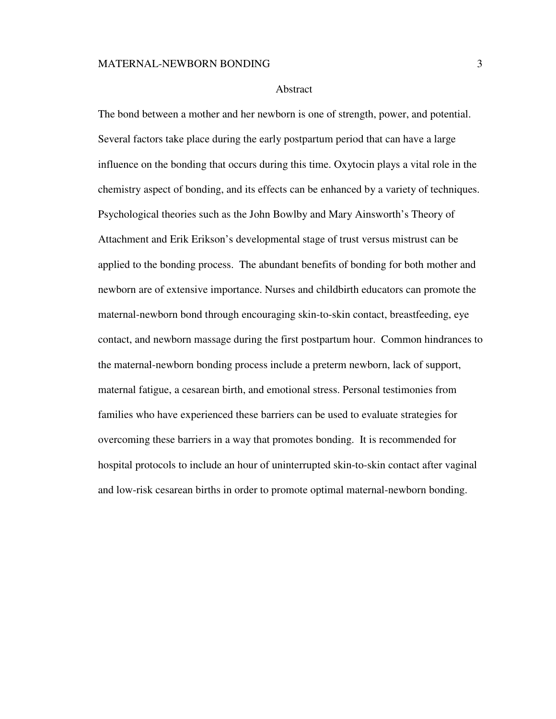#### Abstract

The bond between a mother and her newborn is one of strength, power, and potential. Several factors take place during the early postpartum period that can have a large influence on the bonding that occurs during this time. Oxytocin plays a vital role in the chemistry aspect of bonding, and its effects can be enhanced by a variety of techniques. Psychological theories such as the John Bowlby and Mary Ainsworth's Theory of Attachment and Erik Erikson's developmental stage of trust versus mistrust can be applied to the bonding process. The abundant benefits of bonding for both mother and newborn are of extensive importance. Nurses and childbirth educators can promote the maternal-newborn bond through encouraging skin-to-skin contact, breastfeeding, eye contact, and newborn massage during the first postpartum hour. Common hindrances to the maternal-newborn bonding process include a preterm newborn, lack of support, maternal fatigue, a cesarean birth, and emotional stress. Personal testimonies from families who have experienced these barriers can be used to evaluate strategies for overcoming these barriers in a way that promotes bonding. It is recommended for hospital protocols to include an hour of uninterrupted skin-to-skin contact after vaginal and low-risk cesarean births in order to promote optimal maternal-newborn bonding.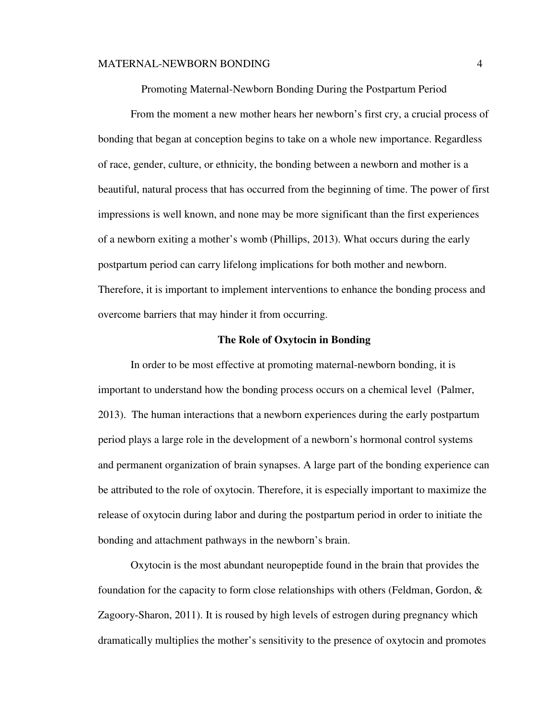Promoting Maternal-Newborn Bonding During the Postpartum Period

From the moment a new mother hears her newborn's first cry, a crucial process of bonding that began at conception begins to take on a whole new importance. Regardless of race, gender, culture, or ethnicity, the bonding between a newborn and mother is a beautiful, natural process that has occurred from the beginning of time. The power of first impressions is well known, and none may be more significant than the first experiences of a newborn exiting a mother's womb (Phillips, 2013). What occurs during the early postpartum period can carry lifelong implications for both mother and newborn. Therefore, it is important to implement interventions to enhance the bonding process and overcome barriers that may hinder it from occurring.

#### **The Role of Oxytocin in Bonding**

 In order to be most effective at promoting maternal-newborn bonding, it is important to understand how the bonding process occurs on a chemical level (Palmer, 2013). The human interactions that a newborn experiences during the early postpartum period plays a large role in the development of a newborn's hormonal control systems and permanent organization of brain synapses. A large part of the bonding experience can be attributed to the role of oxytocin. Therefore, it is especially important to maximize the release of oxytocin during labor and during the postpartum period in order to initiate the bonding and attachment pathways in the newborn's brain.

Oxytocin is the most abundant neuropeptide found in the brain that provides the foundation for the capacity to form close relationships with others (Feldman, Gordon, & Zagoory-Sharon, 2011). It is roused by high levels of estrogen during pregnancy which dramatically multiplies the mother's sensitivity to the presence of oxytocin and promotes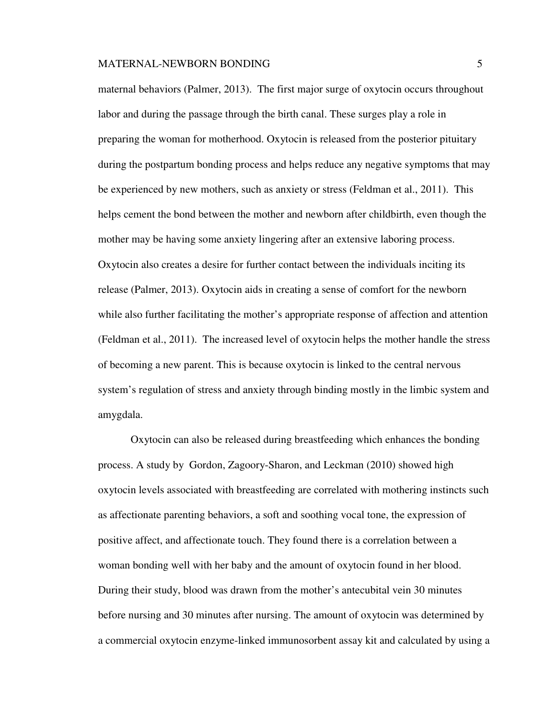maternal behaviors (Palmer, 2013). The first major surge of oxytocin occurs throughout labor and during the passage through the birth canal. These surges play a role in preparing the woman for motherhood. Oxytocin is released from the posterior pituitary during the postpartum bonding process and helps reduce any negative symptoms that may be experienced by new mothers, such as anxiety or stress (Feldman et al., 2011). This helps cement the bond between the mother and newborn after childbirth, even though the mother may be having some anxiety lingering after an extensive laboring process. Oxytocin also creates a desire for further contact between the individuals inciting its release (Palmer, 2013). Oxytocin aids in creating a sense of comfort for the newborn while also further facilitating the mother's appropriate response of affection and attention (Feldman et al., 2011). The increased level of oxytocin helps the mother handle the stress of becoming a new parent. This is because oxytocin is linked to the central nervous system's regulation of stress and anxiety through binding mostly in the limbic system and amygdala.

 Oxytocin can also be released during breastfeeding which enhances the bonding process. A study by Gordon, Zagoory-Sharon, and Leckman (2010) showed high oxytocin levels associated with breastfeeding are correlated with mothering instincts such as affectionate parenting behaviors, a soft and soothing vocal tone, the expression of positive affect, and affectionate touch. They found there is a correlation between a woman bonding well with her baby and the amount of oxytocin found in her blood. During their study, blood was drawn from the mother's antecubital vein 30 minutes before nursing and 30 minutes after nursing. The amount of oxytocin was determined by a commercial oxytocin enzyme-linked immunosorbent assay kit and calculated by using a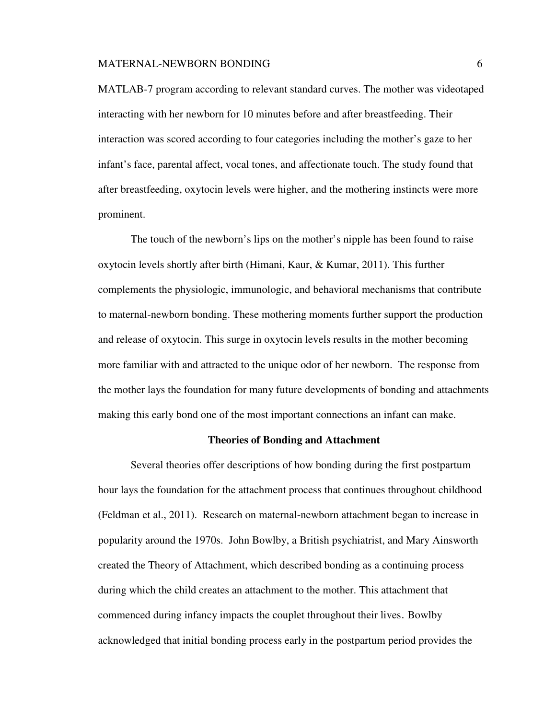MATLAB-7 program according to relevant standard curves. The mother was videotaped interacting with her newborn for 10 minutes before and after breastfeeding. Their interaction was scored according to four categories including the mother's gaze to her infant's face, parental affect, vocal tones, and affectionate touch. The study found that after breastfeeding, oxytocin levels were higher, and the mothering instincts were more prominent.

The touch of the newborn's lips on the mother's nipple has been found to raise oxytocin levels shortly after birth (Himani, Kaur, & Kumar, 2011). This further complements the physiologic, immunologic, and behavioral mechanisms that contribute to maternal-newborn bonding. These mothering moments further support the production and release of oxytocin. This surge in oxytocin levels results in the mother becoming more familiar with and attracted to the unique odor of her newborn. The response from the mother lays the foundation for many future developments of bonding and attachments making this early bond one of the most important connections an infant can make.

#### **Theories of Bonding and Attachment**

Several theories offer descriptions of how bonding during the first postpartum hour lays the foundation for the attachment process that continues throughout childhood (Feldman et al., 2011). Research on maternal-newborn attachment began to increase in popularity around the 1970s. John Bowlby, a British psychiatrist, and Mary Ainsworth created the Theory of Attachment, which described bonding as a continuing process during which the child creates an attachment to the mother. This attachment that commenced during infancy impacts the couplet throughout their lives. Bowlby acknowledged that initial bonding process early in the postpartum period provides the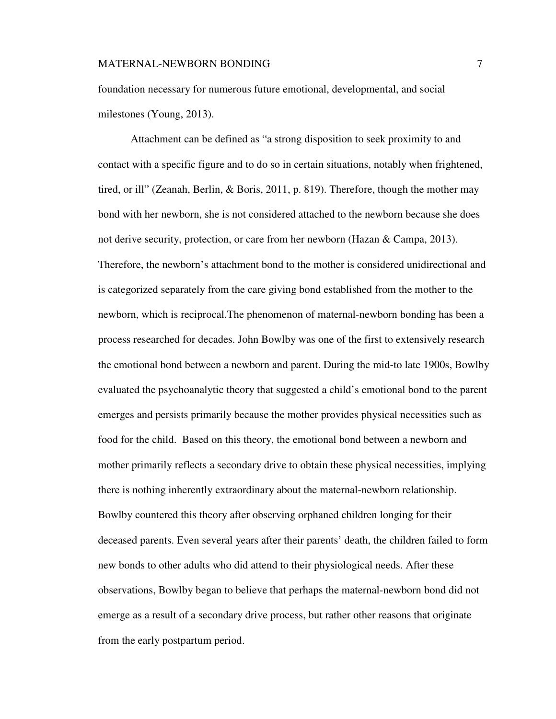foundation necessary for numerous future emotional, developmental, and social milestones (Young, 2013).

Attachment can be defined as "a strong disposition to seek proximity to and contact with a specific figure and to do so in certain situations, notably when frightened, tired, or ill" (Zeanah, Berlin, & Boris, 2011, p. 819). Therefore, though the mother may bond with her newborn, she is not considered attached to the newborn because she does not derive security, protection, or care from her newborn (Hazan & Campa, 2013). Therefore, the newborn's attachment bond to the mother is considered unidirectional and is categorized separately from the care giving bond established from the mother to the newborn, which is reciprocal.The phenomenon of maternal-newborn bonding has been a process researched for decades. John Bowlby was one of the first to extensively research the emotional bond between a newborn and parent. During the mid-to late 1900s, Bowlby evaluated the psychoanalytic theory that suggested a child's emotional bond to the parent emerges and persists primarily because the mother provides physical necessities such as food for the child. Based on this theory, the emotional bond between a newborn and mother primarily reflects a secondary drive to obtain these physical necessities, implying there is nothing inherently extraordinary about the maternal-newborn relationship. Bowlby countered this theory after observing orphaned children longing for their deceased parents. Even several years after their parents' death, the children failed to form new bonds to other adults who did attend to their physiological needs. After these observations, Bowlby began to believe that perhaps the maternal-newborn bond did not emerge as a result of a secondary drive process, but rather other reasons that originate from the early postpartum period.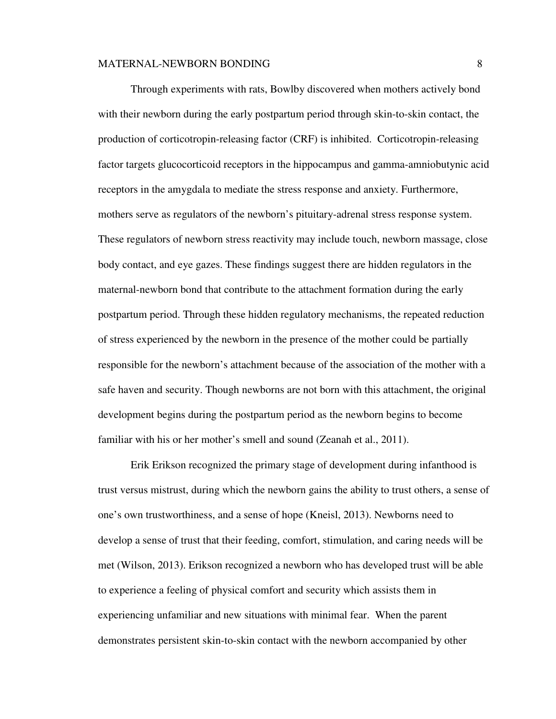Through experiments with rats, Bowlby discovered when mothers actively bond with their newborn during the early postpartum period through skin-to-skin contact, the production of corticotropin-releasing factor (CRF) is inhibited. Corticotropin-releasing factor targets glucocorticoid receptors in the hippocampus and gamma-amniobutynic acid receptors in the amygdala to mediate the stress response and anxiety. Furthermore, mothers serve as regulators of the newborn's pituitary-adrenal stress response system. These regulators of newborn stress reactivity may include touch, newborn massage, close body contact, and eye gazes. These findings suggest there are hidden regulators in the maternal-newborn bond that contribute to the attachment formation during the early postpartum period. Through these hidden regulatory mechanisms, the repeated reduction of stress experienced by the newborn in the presence of the mother could be partially responsible for the newborn's attachment because of the association of the mother with a safe haven and security. Though newborns are not born with this attachment, the original development begins during the postpartum period as the newborn begins to become familiar with his or her mother's smell and sound (Zeanah et al., 2011).

 Erik Erikson recognized the primary stage of development during infanthood is trust versus mistrust, during which the newborn gains the ability to trust others, a sense of one's own trustworthiness, and a sense of hope (Kneisl, 2013). Newborns need to develop a sense of trust that their feeding, comfort, stimulation, and caring needs will be met (Wilson, 2013). Erikson recognized a newborn who has developed trust will be able to experience a feeling of physical comfort and security which assists them in experiencing unfamiliar and new situations with minimal fear. When the parent demonstrates persistent skin-to-skin contact with the newborn accompanied by other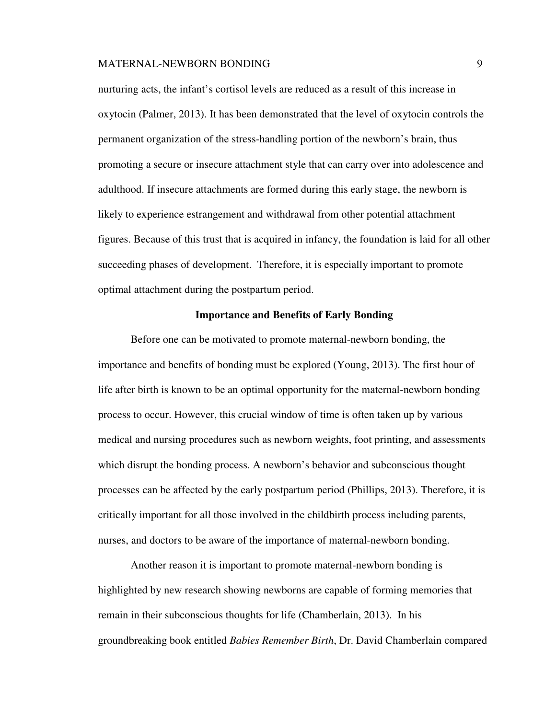#### MATERNAL-NEWBORN BONDING PERSON NATURE AND SUMPOSE AND SUMPORT STATES AND SUMPORT OF STATES AND SUMPORT OF STA

nurturing acts, the infant's cortisol levels are reduced as a result of this increase in oxytocin (Palmer, 2013). It has been demonstrated that the level of oxytocin controls the permanent organization of the stress-handling portion of the newborn's brain, thus promoting a secure or insecure attachment style that can carry over into adolescence and adulthood. If insecure attachments are formed during this early stage, the newborn is likely to experience estrangement and withdrawal from other potential attachment figures. Because of this trust that is acquired in infancy, the foundation is laid for all other succeeding phases of development. Therefore, it is especially important to promote optimal attachment during the postpartum period.

## **Importance and Benefits of Early Bonding**

Before one can be motivated to promote maternal-newborn bonding, the importance and benefits of bonding must be explored (Young, 2013). The first hour of life after birth is known to be an optimal opportunity for the maternal-newborn bonding process to occur. However, this crucial window of time is often taken up by various medical and nursing procedures such as newborn weights, foot printing, and assessments which disrupt the bonding process. A newborn's behavior and subconscious thought processes can be affected by the early postpartum period (Phillips, 2013). Therefore, it is critically important for all those involved in the childbirth process including parents, nurses, and doctors to be aware of the importance of maternal-newborn bonding.

Another reason it is important to promote maternal-newborn bonding is highlighted by new research showing newborns are capable of forming memories that remain in their subconscious thoughts for life (Chamberlain, 2013). In his groundbreaking book entitled *Babies Remember Birth*, Dr. David Chamberlain compared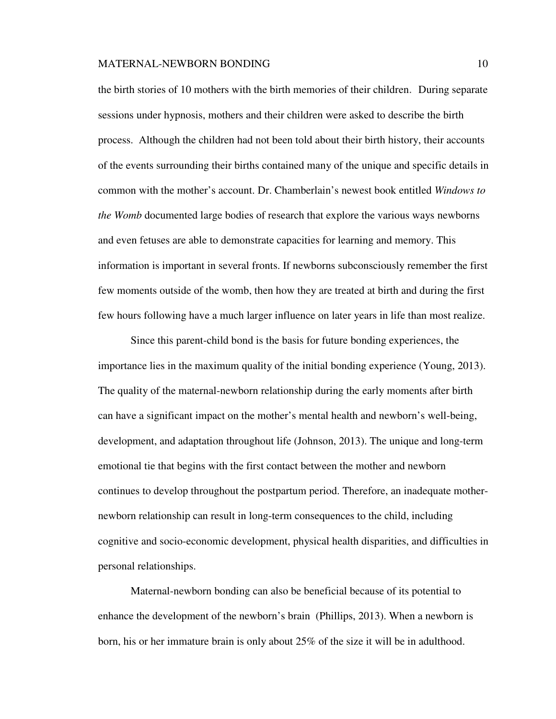the birth stories of 10 mothers with the birth memories of their children. During separate sessions under hypnosis, mothers and their children were asked to describe the birth process. Although the children had not been told about their birth history, their accounts of the events surrounding their births contained many of the unique and specific details in common with the mother's account. Dr. Chamberlain's newest book entitled *Windows to the Womb* documented large bodies of research that explore the various ways newborns and even fetuses are able to demonstrate capacities for learning and memory. This information is important in several fronts. If newborns subconsciously remember the first few moments outside of the womb, then how they are treated at birth and during the first few hours following have a much larger influence on later years in life than most realize.

Since this parent-child bond is the basis for future bonding experiences, the importance lies in the maximum quality of the initial bonding experience (Young, 2013). The quality of the maternal-newborn relationship during the early moments after birth can have a significant impact on the mother's mental health and newborn's well-being, development, and adaptation throughout life (Johnson, 2013). The unique and long-term emotional tie that begins with the first contact between the mother and newborn continues to develop throughout the postpartum period. Therefore, an inadequate mothernewborn relationship can result in long-term consequences to the child, including cognitive and socio-economic development, physical health disparities, and difficulties in personal relationships.

Maternal-newborn bonding can also be beneficial because of its potential to enhance the development of the newborn's brain (Phillips, 2013). When a newborn is born, his or her immature brain is only about 25% of the size it will be in adulthood.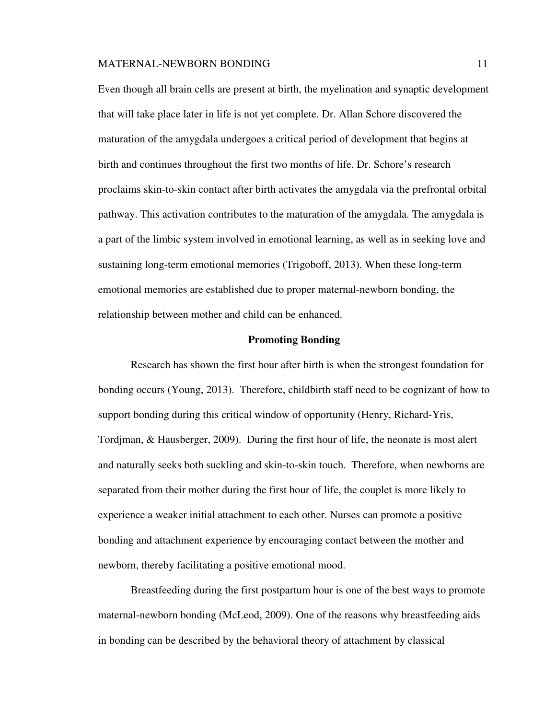Even though all brain cells are present at birth, the myelination and synaptic development that will take place later in life is not yet complete. Dr. Allan Schore discovered the maturation of the amygdala undergoes a critical period of development that begins at birth and continues throughout the first two months of life. Dr. Schore's research proclaims skin-to-skin contact after birth activates the amygdala via the prefrontal orbital pathway. This activation contributes to the maturation of the amygdala. The amygdala is a part of the limbic system involved in emotional learning, as well as in seeking love and sustaining long-term emotional memories (Trigoboff, 2013). When these long-term emotional memories are established due to proper maternal-newborn bonding, the relationship between mother and child can be enhanced.

## **Promoting Bonding**

Research has shown the first hour after birth is when the strongest foundation for bonding occurs (Young, 2013). Therefore, childbirth staff need to be cognizant of how to support bonding during this critical window of opportunity (Henry, Richard-Yris, Tordjman, & Hausberger, 2009). During the first hour of life, the neonate is most alert and naturally seeks both suckling and skin-to-skin touch. Therefore, when newborns are separated from their mother during the first hour of life, the couplet is more likely to experience a weaker initial attachment to each other. Nurses can promote a positive bonding and attachment experience by encouraging contact between the mother and newborn, thereby facilitating a positive emotional mood.

 Breastfeeding during the first postpartum hour is one of the best ways to promote maternal-newborn bonding (McLeod, 2009). One of the reasons why breastfeeding aids in bonding can be described by the behavioral theory of attachment by classical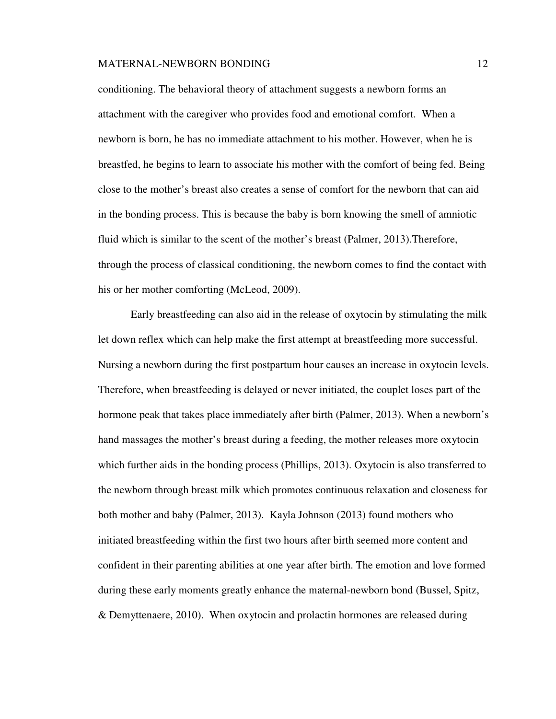conditioning. The behavioral theory of attachment suggests a newborn forms an attachment with the caregiver who provides food and emotional comfort. When a newborn is born, he has no immediate attachment to his mother. However, when he is breastfed, he begins to learn to associate his mother with the comfort of being fed. Being close to the mother's breast also creates a sense of comfort for the newborn that can aid in the bonding process. This is because the baby is born knowing the smell of amniotic fluid which is similar to the scent of the mother's breast (Palmer, 2013).Therefore, through the process of classical conditioning, the newborn comes to find the contact with his or her mother comforting (McLeod, 2009).

Early breastfeeding can also aid in the release of oxytocin by stimulating the milk let down reflex which can help make the first attempt at breastfeeding more successful. Nursing a newborn during the first postpartum hour causes an increase in oxytocin levels. Therefore, when breastfeeding is delayed or never initiated, the couplet loses part of the hormone peak that takes place immediately after birth (Palmer, 2013). When a newborn's hand massages the mother's breast during a feeding, the mother releases more oxytocin which further aids in the bonding process (Phillips, 2013). Oxytocin is also transferred to the newborn through breast milk which promotes continuous relaxation and closeness for both mother and baby (Palmer, 2013). Kayla Johnson (2013) found mothers who initiated breastfeeding within the first two hours after birth seemed more content and confident in their parenting abilities at one year after birth. The emotion and love formed during these early moments greatly enhance the maternal-newborn bond (Bussel, Spitz, & Demyttenaere, 2010). When oxytocin and prolactin hormones are released during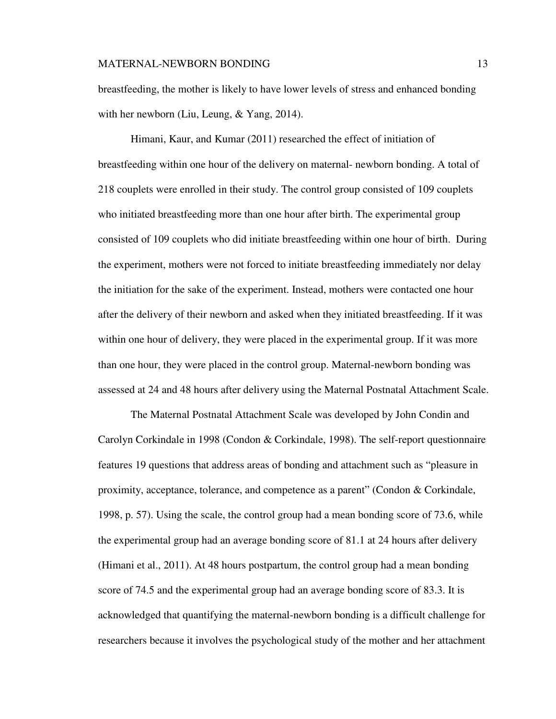breastfeeding, the mother is likely to have lower levels of stress and enhanced bonding with her newborn (Liu, Leung, & Yang, 2014).

 Himani, Kaur, and Kumar (2011) researched the effect of initiation of breastfeeding within one hour of the delivery on maternal- newborn bonding. A total of 218 couplets were enrolled in their study. The control group consisted of 109 couplets who initiated breastfeeding more than one hour after birth. The experimental group consisted of 109 couplets who did initiate breastfeeding within one hour of birth. During the experiment, mothers were not forced to initiate breastfeeding immediately nor delay the initiation for the sake of the experiment. Instead, mothers were contacted one hour after the delivery of their newborn and asked when they initiated breastfeeding. If it was within one hour of delivery, they were placed in the experimental group. If it was more than one hour, they were placed in the control group. Maternal-newborn bonding was assessed at 24 and 48 hours after delivery using the Maternal Postnatal Attachment Scale.

The Maternal Postnatal Attachment Scale was developed by John Condin and Carolyn Corkindale in 1998 (Condon & Corkindale, 1998). The self-report questionnaire features 19 questions that address areas of bonding and attachment such as "pleasure in proximity, acceptance, tolerance, and competence as a parent" (Condon & Corkindale, 1998, p. 57). Using the scale, the control group had a mean bonding score of 73.6, while the experimental group had an average bonding score of 81.1 at 24 hours after delivery (Himani et al., 2011). At 48 hours postpartum, the control group had a mean bonding score of 74.5 and the experimental group had an average bonding score of 83.3. It is acknowledged that quantifying the maternal-newborn bonding is a difficult challenge for researchers because it involves the psychological study of the mother and her attachment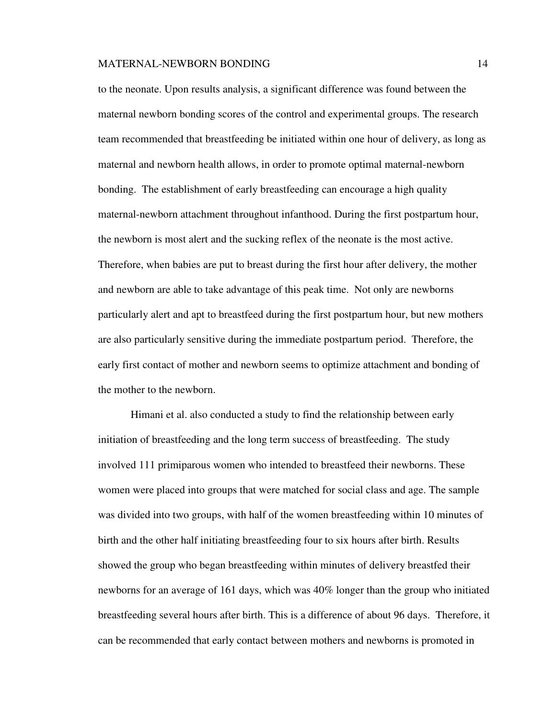to the neonate. Upon results analysis, a significant difference was found between the maternal newborn bonding scores of the control and experimental groups. The research team recommended that breastfeeding be initiated within one hour of delivery, as long as maternal and newborn health allows, in order to promote optimal maternal-newborn bonding. The establishment of early breastfeeding can encourage a high quality maternal-newborn attachment throughout infanthood. During the first postpartum hour, the newborn is most alert and the sucking reflex of the neonate is the most active. Therefore, when babies are put to breast during the first hour after delivery, the mother and newborn are able to take advantage of this peak time. Not only are newborns particularly alert and apt to breastfeed during the first postpartum hour, but new mothers are also particularly sensitive during the immediate postpartum period. Therefore, the early first contact of mother and newborn seems to optimize attachment and bonding of the mother to the newborn.

Himani et al. also conducted a study to find the relationship between early initiation of breastfeeding and the long term success of breastfeeding. The study involved 111 primiparous women who intended to breastfeed their newborns. These women were placed into groups that were matched for social class and age. The sample was divided into two groups, with half of the women breastfeeding within 10 minutes of birth and the other half initiating breastfeeding four to six hours after birth. Results showed the group who began breastfeeding within minutes of delivery breastfed their newborns for an average of 161 days, which was 40% longer than the group who initiated breastfeeding several hours after birth. This is a difference of about 96 days. Therefore, it can be recommended that early contact between mothers and newborns is promoted in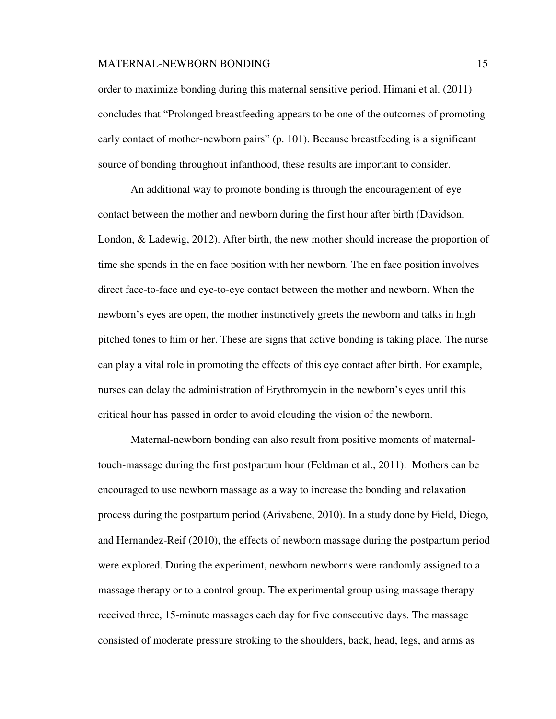order to maximize bonding during this maternal sensitive period. Himani et al. (2011) concludes that "Prolonged breastfeeding appears to be one of the outcomes of promoting early contact of mother-newborn pairs" (p. 101). Because breastfeeding is a significant source of bonding throughout infanthood, these results are important to consider.

An additional way to promote bonding is through the encouragement of eye contact between the mother and newborn during the first hour after birth (Davidson, London, & Ladewig, 2012). After birth, the new mother should increase the proportion of time she spends in the en face position with her newborn. The en face position involves direct face-to-face and eye-to-eye contact between the mother and newborn. When the newborn's eyes are open, the mother instinctively greets the newborn and talks in high pitched tones to him or her. These are signs that active bonding is taking place. The nurse can play a vital role in promoting the effects of this eye contact after birth. For example, nurses can delay the administration of Erythromycin in the newborn's eyes until this critical hour has passed in order to avoid clouding the vision of the newborn.

 Maternal-newborn bonding can also result from positive moments of maternaltouch-massage during the first postpartum hour (Feldman et al., 2011). Mothers can be encouraged to use newborn massage as a way to increase the bonding and relaxation process during the postpartum period (Arivabene, 2010). In a study done by Field, Diego, and Hernandez-Reif (2010), the effects of newborn massage during the postpartum period were explored. During the experiment, newborn newborns were randomly assigned to a massage therapy or to a control group. The experimental group using massage therapy received three, 15-minute massages each day for five consecutive days. The massage consisted of moderate pressure stroking to the shoulders, back, head, legs, and arms as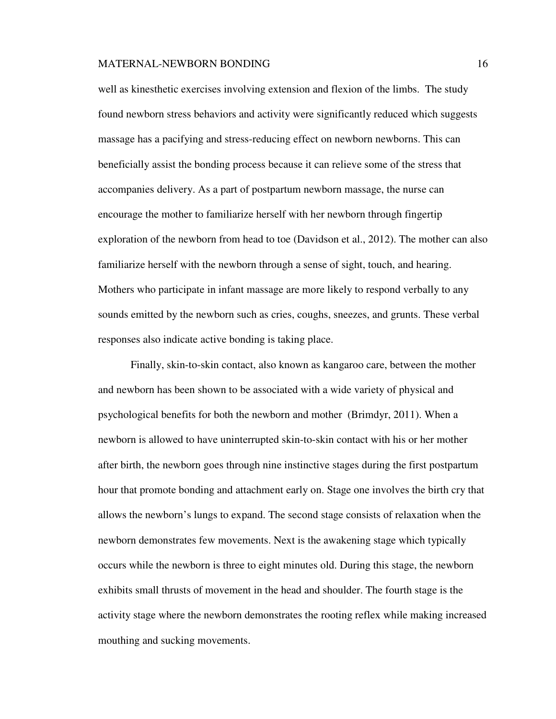well as kinesthetic exercises involving extension and flexion of the limbs. The study found newborn stress behaviors and activity were significantly reduced which suggests massage has a pacifying and stress-reducing effect on newborn newborns. This can beneficially assist the bonding process because it can relieve some of the stress that accompanies delivery. As a part of postpartum newborn massage, the nurse can encourage the mother to familiarize herself with her newborn through fingertip exploration of the newborn from head to toe (Davidson et al., 2012). The mother can also familiarize herself with the newborn through a sense of sight, touch, and hearing. Mothers who participate in infant massage are more likely to respond verbally to any sounds emitted by the newborn such as cries, coughs, sneezes, and grunts. These verbal responses also indicate active bonding is taking place.

 Finally, skin-to-skin contact, also known as kangaroo care, between the mother and newborn has been shown to be associated with a wide variety of physical and psychological benefits for both the newborn and mother (Brimdyr, 2011). When a newborn is allowed to have uninterrupted skin-to-skin contact with his or her mother after birth, the newborn goes through nine instinctive stages during the first postpartum hour that promote bonding and attachment early on. Stage one involves the birth cry that allows the newborn's lungs to expand. The second stage consists of relaxation when the newborn demonstrates few movements. Next is the awakening stage which typically occurs while the newborn is three to eight minutes old. During this stage, the newborn exhibits small thrusts of movement in the head and shoulder. The fourth stage is the activity stage where the newborn demonstrates the rooting reflex while making increased mouthing and sucking movements.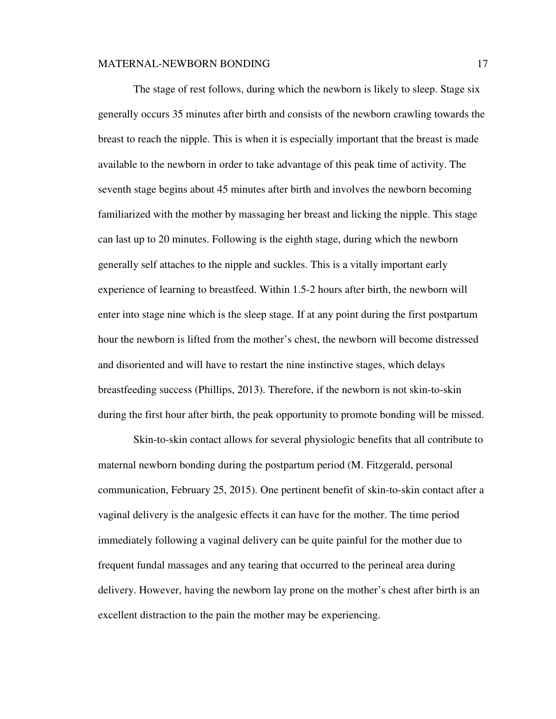The stage of rest follows, during which the newborn is likely to sleep. Stage six generally occurs 35 minutes after birth and consists of the newborn crawling towards the breast to reach the nipple. This is when it is especially important that the breast is made available to the newborn in order to take advantage of this peak time of activity. The seventh stage begins about 45 minutes after birth and involves the newborn becoming familiarized with the mother by massaging her breast and licking the nipple. This stage can last up to 20 minutes. Following is the eighth stage, during which the newborn generally self attaches to the nipple and suckles. This is a vitally important early experience of learning to breastfeed. Within 1.5-2 hours after birth, the newborn will enter into stage nine which is the sleep stage. If at any point during the first postpartum hour the newborn is lifted from the mother's chest, the newborn will become distressed and disoriented and will have to restart the nine instinctive stages, which delays breastfeeding success (Phillips, 2013). Therefore, if the newborn is not skin-to-skin during the first hour after birth, the peak opportunity to promote bonding will be missed.

 Skin-to-skin contact allows for several physiologic benefits that all contribute to maternal newborn bonding during the postpartum period (M. Fitzgerald, personal communication, February 25, 2015). One pertinent benefit of skin-to-skin contact after a vaginal delivery is the analgesic effects it can have for the mother. The time period immediately following a vaginal delivery can be quite painful for the mother due to frequent fundal massages and any tearing that occurred to the perineal area during delivery. However, having the newborn lay prone on the mother's chest after birth is an excellent distraction to the pain the mother may be experiencing.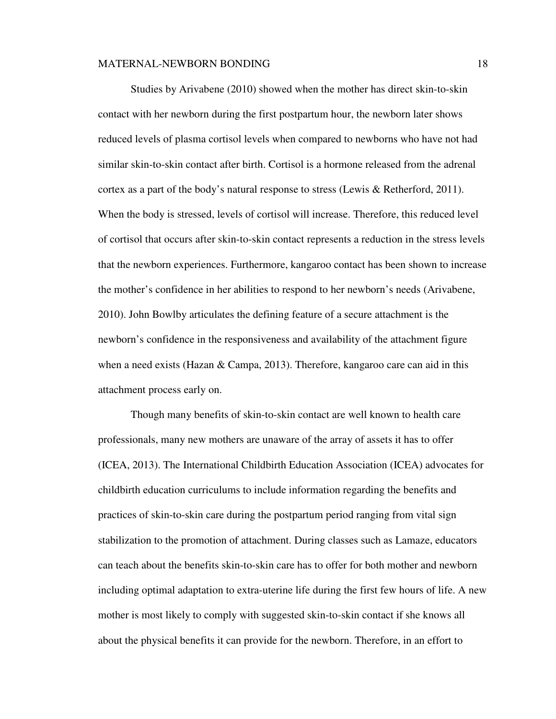Studies by Arivabene (2010) showed when the mother has direct skin-to-skin contact with her newborn during the first postpartum hour, the newborn later shows reduced levels of plasma cortisol levels when compared to newborns who have not had similar skin-to-skin contact after birth. Cortisol is a hormone released from the adrenal cortex as a part of the body's natural response to stress (Lewis & Retherford, 2011). When the body is stressed, levels of cortisol will increase. Therefore, this reduced level of cortisol that occurs after skin-to-skin contact represents a reduction in the stress levels that the newborn experiences. Furthermore, kangaroo contact has been shown to increase the mother's confidence in her abilities to respond to her newborn's needs (Arivabene, 2010). John Bowlby articulates the defining feature of a secure attachment is the newborn's confidence in the responsiveness and availability of the attachment figure when a need exists (Hazan  $&$  Campa, 2013). Therefore, kangaroo care can aid in this attachment process early on.

 Though many benefits of skin-to-skin contact are well known to health care professionals, many new mothers are unaware of the array of assets it has to offer (ICEA, 2013). The International Childbirth Education Association (ICEA) advocates for childbirth education curriculums to include information regarding the benefits and practices of skin-to-skin care during the postpartum period ranging from vital sign stabilization to the promotion of attachment. During classes such as Lamaze, educators can teach about the benefits skin-to-skin care has to offer for both mother and newborn including optimal adaptation to extra-uterine life during the first few hours of life. A new mother is most likely to comply with suggested skin-to-skin contact if she knows all about the physical benefits it can provide for the newborn. Therefore, in an effort to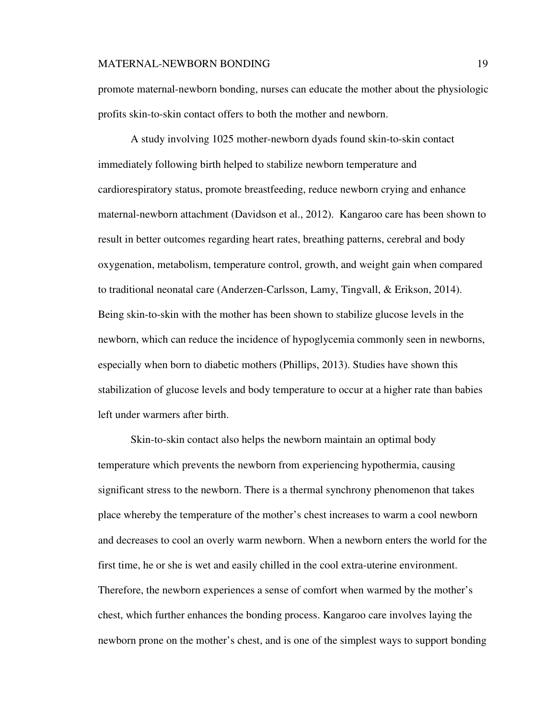promote maternal-newborn bonding, nurses can educate the mother about the physiologic profits skin-to-skin contact offers to both the mother and newborn.

A study involving 1025 mother-newborn dyads found skin-to-skin contact immediately following birth helped to stabilize newborn temperature and cardiorespiratory status, promote breastfeeding, reduce newborn crying and enhance maternal-newborn attachment (Davidson et al., 2012). Kangaroo care has been shown to result in better outcomes regarding heart rates, breathing patterns, cerebral and body oxygenation, metabolism, temperature control, growth, and weight gain when compared to traditional neonatal care (Anderzen-Carlsson, Lamy, Tingvall, & Erikson, 2014). Being skin-to-skin with the mother has been shown to stabilize glucose levels in the newborn, which can reduce the incidence of hypoglycemia commonly seen in newborns, especially when born to diabetic mothers (Phillips, 2013). Studies have shown this stabilization of glucose levels and body temperature to occur at a higher rate than babies left under warmers after birth.

Skin-to-skin contact also helps the newborn maintain an optimal body temperature which prevents the newborn from experiencing hypothermia, causing significant stress to the newborn. There is a thermal synchrony phenomenon that takes place whereby the temperature of the mother's chest increases to warm a cool newborn and decreases to cool an overly warm newborn. When a newborn enters the world for the first time, he or she is wet and easily chilled in the cool extra-uterine environment. Therefore, the newborn experiences a sense of comfort when warmed by the mother's chest, which further enhances the bonding process. Kangaroo care involves laying the newborn prone on the mother's chest, and is one of the simplest ways to support bonding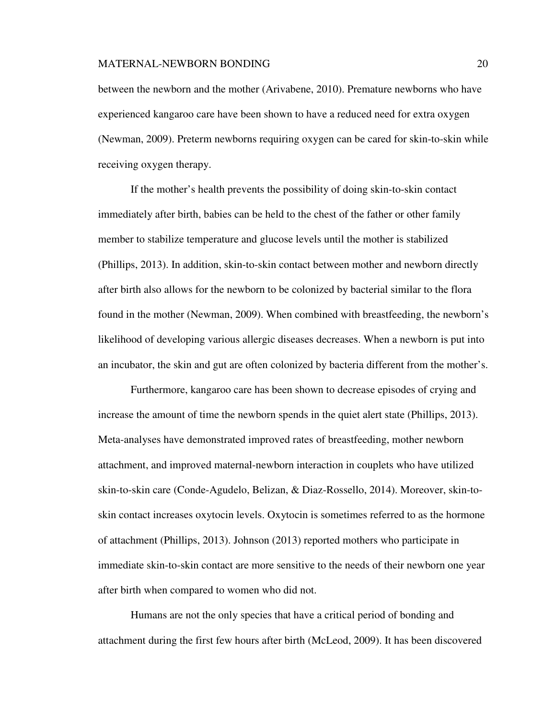between the newborn and the mother (Arivabene, 2010). Premature newborns who have experienced kangaroo care have been shown to have a reduced need for extra oxygen (Newman, 2009). Preterm newborns requiring oxygen can be cared for skin-to-skin while receiving oxygen therapy.

If the mother's health prevents the possibility of doing skin-to-skin contact immediately after birth, babies can be held to the chest of the father or other family member to stabilize temperature and glucose levels until the mother is stabilized (Phillips, 2013). In addition, skin-to-skin contact between mother and newborn directly after birth also allows for the newborn to be colonized by bacterial similar to the flora found in the mother (Newman, 2009). When combined with breastfeeding, the newborn's likelihood of developing various allergic diseases decreases. When a newborn is put into an incubator, the skin and gut are often colonized by bacteria different from the mother's.

Furthermore, kangaroo care has been shown to decrease episodes of crying and increase the amount of time the newborn spends in the quiet alert state (Phillips, 2013). Meta-analyses have demonstrated improved rates of breastfeeding, mother newborn attachment, and improved maternal-newborn interaction in couplets who have utilized skin-to-skin care (Conde-Agudelo, Belizan, & Diaz-Rossello, 2014). Moreover, skin-toskin contact increases oxytocin levels. Oxytocin is sometimes referred to as the hormone of attachment (Phillips, 2013). Johnson (2013) reported mothers who participate in immediate skin-to-skin contact are more sensitive to the needs of their newborn one year after birth when compared to women who did not.

 Humans are not the only species that have a critical period of bonding and attachment during the first few hours after birth (McLeod, 2009). It has been discovered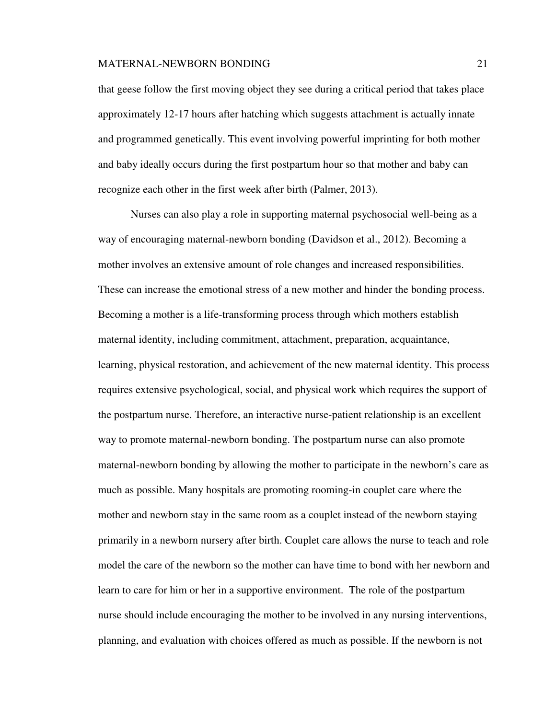that geese follow the first moving object they see during a critical period that takes place approximately 12-17 hours after hatching which suggests attachment is actually innate and programmed genetically. This event involving powerful imprinting for both mother and baby ideally occurs during the first postpartum hour so that mother and baby can recognize each other in the first week after birth (Palmer, 2013).

 Nurses can also play a role in supporting maternal psychosocial well-being as a way of encouraging maternal-newborn bonding (Davidson et al., 2012). Becoming a mother involves an extensive amount of role changes and increased responsibilities. These can increase the emotional stress of a new mother and hinder the bonding process. Becoming a mother is a life-transforming process through which mothers establish maternal identity, including commitment, attachment, preparation, acquaintance, learning, physical restoration, and achievement of the new maternal identity. This process requires extensive psychological, social, and physical work which requires the support of the postpartum nurse. Therefore, an interactive nurse-patient relationship is an excellent way to promote maternal-newborn bonding. The postpartum nurse can also promote maternal-newborn bonding by allowing the mother to participate in the newborn's care as much as possible. Many hospitals are promoting rooming-in couplet care where the mother and newborn stay in the same room as a couplet instead of the newborn staying primarily in a newborn nursery after birth. Couplet care allows the nurse to teach and role model the care of the newborn so the mother can have time to bond with her newborn and learn to care for him or her in a supportive environment. The role of the postpartum nurse should include encouraging the mother to be involved in any nursing interventions, planning, and evaluation with choices offered as much as possible. If the newborn is not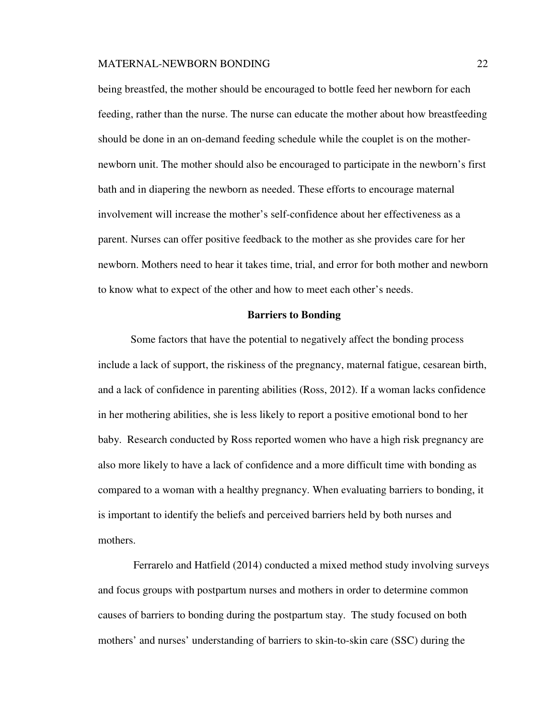being breastfed, the mother should be encouraged to bottle feed her newborn for each feeding, rather than the nurse. The nurse can educate the mother about how breastfeeding should be done in an on-demand feeding schedule while the couplet is on the mothernewborn unit. The mother should also be encouraged to participate in the newborn's first bath and in diapering the newborn as needed. These efforts to encourage maternal involvement will increase the mother's self-confidence about her effectiveness as a parent. Nurses can offer positive feedback to the mother as she provides care for her newborn. Mothers need to hear it takes time, trial, and error for both mother and newborn to know what to expect of the other and how to meet each other's needs.

#### **Barriers to Bonding**

Some factors that have the potential to negatively affect the bonding process include a lack of support, the riskiness of the pregnancy, maternal fatigue, cesarean birth, and a lack of confidence in parenting abilities (Ross, 2012). If a woman lacks confidence in her mothering abilities, she is less likely to report a positive emotional bond to her baby. Research conducted by Ross reported women who have a high risk pregnancy are also more likely to have a lack of confidence and a more difficult time with bonding as compared to a woman with a healthy pregnancy. When evaluating barriers to bonding, it is important to identify the beliefs and perceived barriers held by both nurses and mothers.

 Ferrarelo and Hatfield (2014) conducted a mixed method study involving surveys and focus groups with postpartum nurses and mothers in order to determine common causes of barriers to bonding during the postpartum stay. The study focused on both mothers' and nurses' understanding of barriers to skin-to-skin care (SSC) during the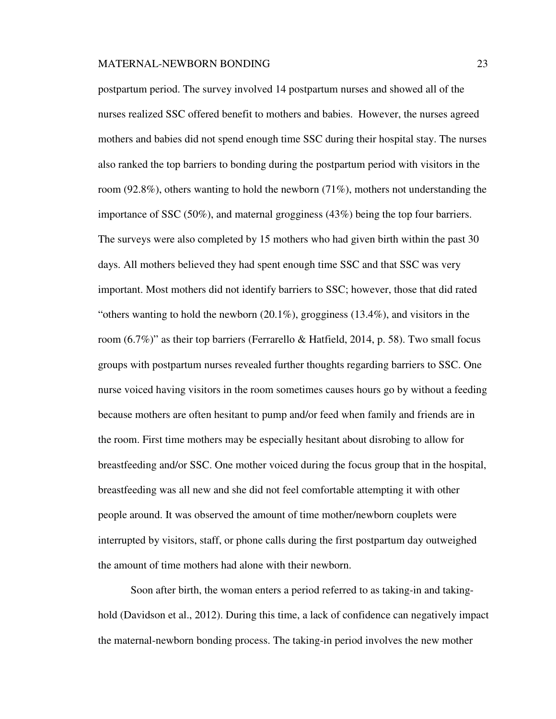postpartum period. The survey involved 14 postpartum nurses and showed all of the nurses realized SSC offered benefit to mothers and babies. However, the nurses agreed mothers and babies did not spend enough time SSC during their hospital stay. The nurses also ranked the top barriers to bonding during the postpartum period with visitors in the room (92.8%), others wanting to hold the newborn (71%), mothers not understanding the importance of SSC (50%), and maternal grogginess (43%) being the top four barriers. The surveys were also completed by 15 mothers who had given birth within the past 30 days. All mothers believed they had spent enough time SSC and that SSC was very important. Most mothers did not identify barriers to SSC; however, those that did rated "others wanting to hold the newborn (20.1%), grogginess (13.4%), and visitors in the room  $(6.7\%)$ " as their top barriers (Ferrarello & Hatfield, 2014, p. 58). Two small focus groups with postpartum nurses revealed further thoughts regarding barriers to SSC. One nurse voiced having visitors in the room sometimes causes hours go by without a feeding because mothers are often hesitant to pump and/or feed when family and friends are in the room. First time mothers may be especially hesitant about disrobing to allow for breastfeeding and/or SSC. One mother voiced during the focus group that in the hospital, breastfeeding was all new and she did not feel comfortable attempting it with other people around. It was observed the amount of time mother/newborn couplets were interrupted by visitors, staff, or phone calls during the first postpartum day outweighed the amount of time mothers had alone with their newborn.

 Soon after birth, the woman enters a period referred to as taking-in and takinghold (Davidson et al., 2012). During this time, a lack of confidence can negatively impact the maternal-newborn bonding process. The taking-in period involves the new mother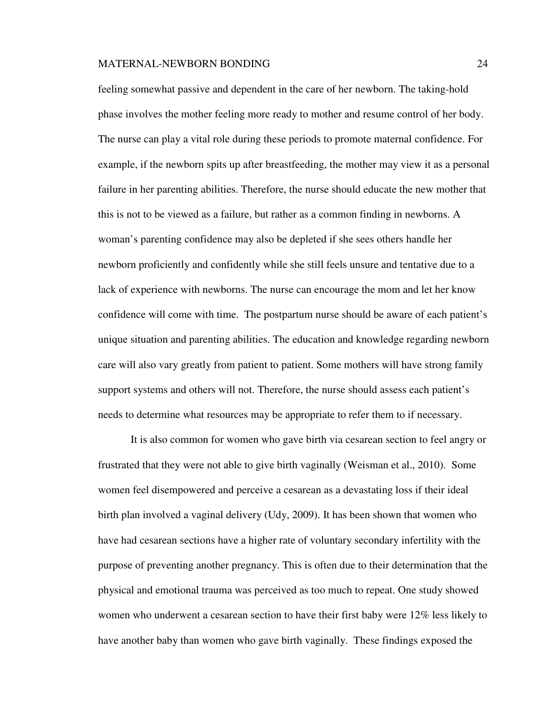feeling somewhat passive and dependent in the care of her newborn. The taking-hold phase involves the mother feeling more ready to mother and resume control of her body. The nurse can play a vital role during these periods to promote maternal confidence. For example, if the newborn spits up after breastfeeding, the mother may view it as a personal failure in her parenting abilities. Therefore, the nurse should educate the new mother that this is not to be viewed as a failure, but rather as a common finding in newborns. A woman's parenting confidence may also be depleted if she sees others handle her newborn proficiently and confidently while she still feels unsure and tentative due to a lack of experience with newborns. The nurse can encourage the mom and let her know confidence will come with time. The postpartum nurse should be aware of each patient's unique situation and parenting abilities. The education and knowledge regarding newborn care will also vary greatly from patient to patient. Some mothers will have strong family support systems and others will not. Therefore, the nurse should assess each patient's needs to determine what resources may be appropriate to refer them to if necessary.

It is also common for women who gave birth via cesarean section to feel angry or frustrated that they were not able to give birth vaginally (Weisman et al., 2010). Some women feel disempowered and perceive a cesarean as a devastating loss if their ideal birth plan involved a vaginal delivery (Udy, 2009). It has been shown that women who have had cesarean sections have a higher rate of voluntary secondary infertility with the purpose of preventing another pregnancy. This is often due to their determination that the physical and emotional trauma was perceived as too much to repeat. One study showed women who underwent a cesarean section to have their first baby were 12% less likely to have another baby than women who gave birth vaginally. These findings exposed the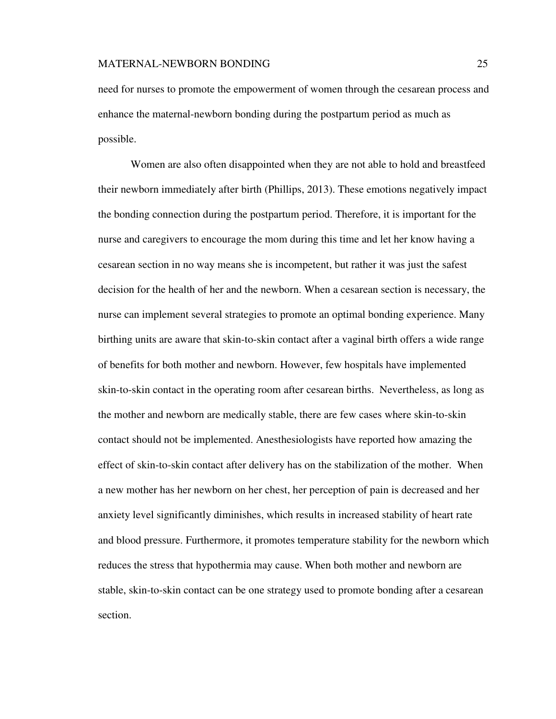need for nurses to promote the empowerment of women through the cesarean process and enhance the maternal-newborn bonding during the postpartum period as much as possible.

Women are also often disappointed when they are not able to hold and breastfeed their newborn immediately after birth (Phillips, 2013). These emotions negatively impact the bonding connection during the postpartum period. Therefore, it is important for the nurse and caregivers to encourage the mom during this time and let her know having a cesarean section in no way means she is incompetent, but rather it was just the safest decision for the health of her and the newborn. When a cesarean section is necessary, the nurse can implement several strategies to promote an optimal bonding experience. Many birthing units are aware that skin-to-skin contact after a vaginal birth offers a wide range of benefits for both mother and newborn. However, few hospitals have implemented skin-to-skin contact in the operating room after cesarean births. Nevertheless, as long as the mother and newborn are medically stable, there are few cases where skin-to-skin contact should not be implemented. Anesthesiologists have reported how amazing the effect of skin-to-skin contact after delivery has on the stabilization of the mother. When a new mother has her newborn on her chest, her perception of pain is decreased and her anxiety level significantly diminishes, which results in increased stability of heart rate and blood pressure. Furthermore, it promotes temperature stability for the newborn which reduces the stress that hypothermia may cause. When both mother and newborn are stable, skin-to-skin contact can be one strategy used to promote bonding after a cesarean section.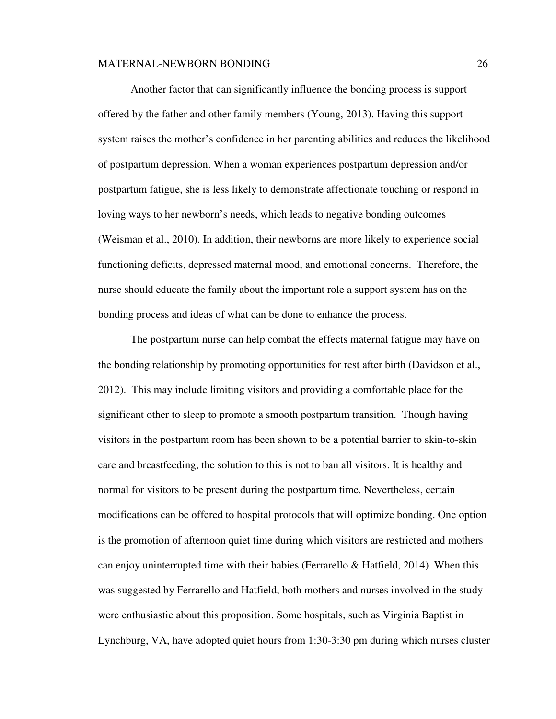Another factor that can significantly influence the bonding process is support offered by the father and other family members (Young, 2013). Having this support system raises the mother's confidence in her parenting abilities and reduces the likelihood of postpartum depression. When a woman experiences postpartum depression and/or postpartum fatigue, she is less likely to demonstrate affectionate touching or respond in loving ways to her newborn's needs, which leads to negative bonding outcomes (Weisman et al., 2010). In addition, their newborns are more likely to experience social functioning deficits, depressed maternal mood, and emotional concerns. Therefore, the nurse should educate the family about the important role a support system has on the bonding process and ideas of what can be done to enhance the process.

 The postpartum nurse can help combat the effects maternal fatigue may have on the bonding relationship by promoting opportunities for rest after birth (Davidson et al., 2012). This may include limiting visitors and providing a comfortable place for the significant other to sleep to promote a smooth postpartum transition. Though having visitors in the postpartum room has been shown to be a potential barrier to skin-to-skin care and breastfeeding, the solution to this is not to ban all visitors. It is healthy and normal for visitors to be present during the postpartum time. Nevertheless, certain modifications can be offered to hospital protocols that will optimize bonding. One option is the promotion of afternoon quiet time during which visitors are restricted and mothers can enjoy uninterrupted time with their babies (Ferrarello  $\&$  Hatfield, 2014). When this was suggested by Ferrarello and Hatfield, both mothers and nurses involved in the study were enthusiastic about this proposition. Some hospitals, such as Virginia Baptist in Lynchburg, VA, have adopted quiet hours from 1:30-3:30 pm during which nurses cluster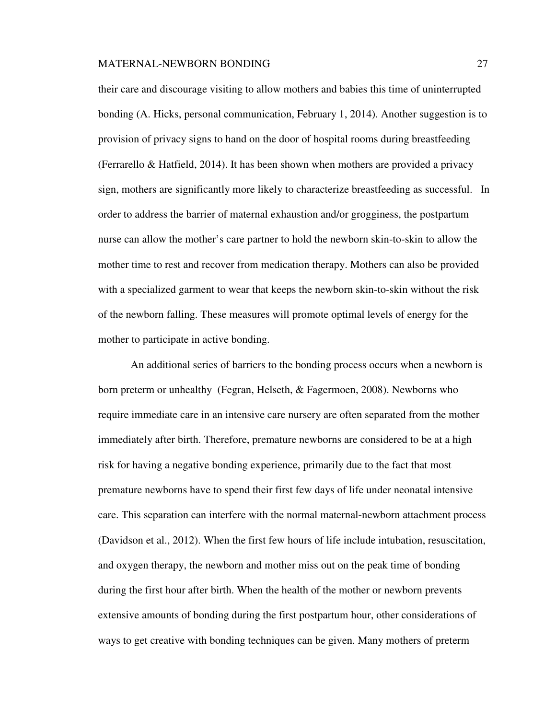their care and discourage visiting to allow mothers and babies this time of uninterrupted bonding (A. Hicks, personal communication, February 1, 2014). Another suggestion is to provision of privacy signs to hand on the door of hospital rooms during breastfeeding (Ferrarello & Hatfield, 2014). It has been shown when mothers are provided a privacy sign, mothers are significantly more likely to characterize breastfeeding as successful. In order to address the barrier of maternal exhaustion and/or grogginess, the postpartum nurse can allow the mother's care partner to hold the newborn skin-to-skin to allow the mother time to rest and recover from medication therapy. Mothers can also be provided with a specialized garment to wear that keeps the newborn skin-to-skin without the risk of the newborn falling. These measures will promote optimal levels of energy for the mother to participate in active bonding.

 An additional series of barriers to the bonding process occurs when a newborn is born preterm or unhealthy (Fegran, Helseth, & Fagermoen, 2008). Newborns who require immediate care in an intensive care nursery are often separated from the mother immediately after birth. Therefore, premature newborns are considered to be at a high risk for having a negative bonding experience, primarily due to the fact that most premature newborns have to spend their first few days of life under neonatal intensive care. This separation can interfere with the normal maternal-newborn attachment process (Davidson et al., 2012). When the first few hours of life include intubation, resuscitation, and oxygen therapy, the newborn and mother miss out on the peak time of bonding during the first hour after birth. When the health of the mother or newborn prevents extensive amounts of bonding during the first postpartum hour, other considerations of ways to get creative with bonding techniques can be given. Many mothers of preterm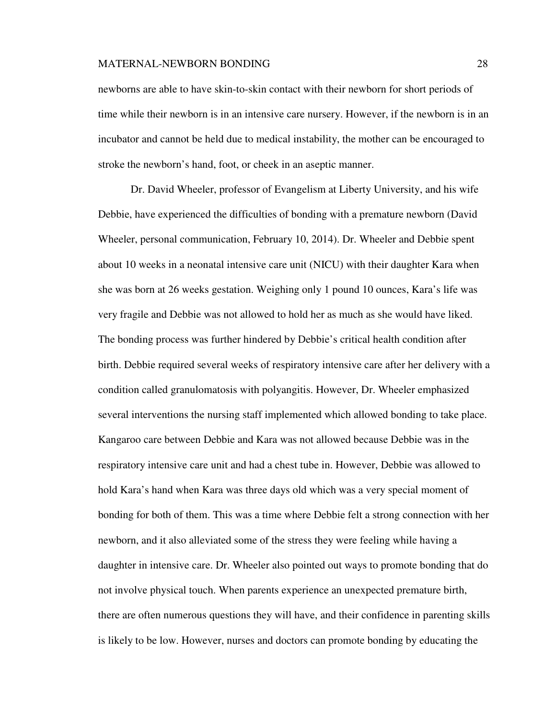newborns are able to have skin-to-skin contact with their newborn for short periods of time while their newborn is in an intensive care nursery. However, if the newborn is in an incubator and cannot be held due to medical instability, the mother can be encouraged to stroke the newborn's hand, foot, or cheek in an aseptic manner.

Dr. David Wheeler, professor of Evangelism at Liberty University, and his wife Debbie, have experienced the difficulties of bonding with a premature newborn (David Wheeler, personal communication, February 10, 2014). Dr. Wheeler and Debbie spent about 10 weeks in a neonatal intensive care unit (NICU) with their daughter Kara when she was born at 26 weeks gestation. Weighing only 1 pound 10 ounces, Kara's life was very fragile and Debbie was not allowed to hold her as much as she would have liked. The bonding process was further hindered by Debbie's critical health condition after birth. Debbie required several weeks of respiratory intensive care after her delivery with a condition called granulomatosis with polyangitis. However, Dr. Wheeler emphasized several interventions the nursing staff implemented which allowed bonding to take place. Kangaroo care between Debbie and Kara was not allowed because Debbie was in the respiratory intensive care unit and had a chest tube in. However, Debbie was allowed to hold Kara's hand when Kara was three days old which was a very special moment of bonding for both of them. This was a time where Debbie felt a strong connection with her newborn, and it also alleviated some of the stress they were feeling while having a daughter in intensive care. Dr. Wheeler also pointed out ways to promote bonding that do not involve physical touch. When parents experience an unexpected premature birth, there are often numerous questions they will have, and their confidence in parenting skills is likely to be low. However, nurses and doctors can promote bonding by educating the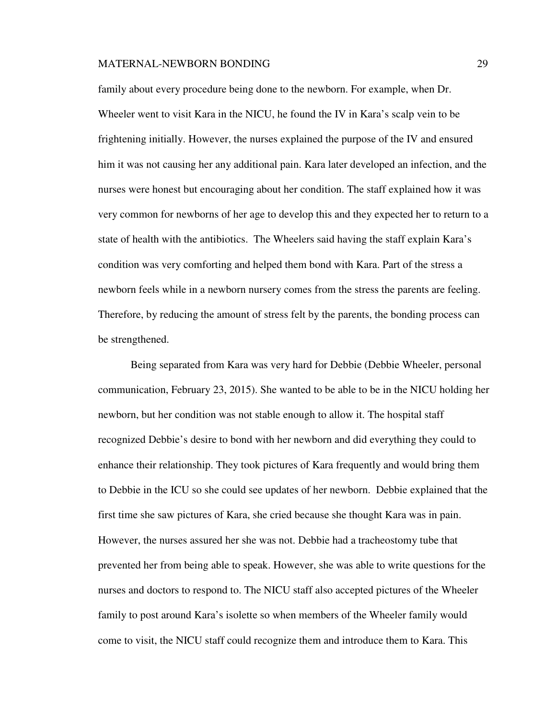family about every procedure being done to the newborn. For example, when Dr. Wheeler went to visit Kara in the NICU, he found the IV in Kara's scalp vein to be frightening initially. However, the nurses explained the purpose of the IV and ensured him it was not causing her any additional pain. Kara later developed an infection, and the nurses were honest but encouraging about her condition. The staff explained how it was very common for newborns of her age to develop this and they expected her to return to a state of health with the antibiotics. The Wheelers said having the staff explain Kara's condition was very comforting and helped them bond with Kara. Part of the stress a newborn feels while in a newborn nursery comes from the stress the parents are feeling. Therefore, by reducing the amount of stress felt by the parents, the bonding process can be strengthened.

Being separated from Kara was very hard for Debbie (Debbie Wheeler, personal communication, February 23, 2015). She wanted to be able to be in the NICU holding her newborn, but her condition was not stable enough to allow it. The hospital staff recognized Debbie's desire to bond with her newborn and did everything they could to enhance their relationship. They took pictures of Kara frequently and would bring them to Debbie in the ICU so she could see updates of her newborn. Debbie explained that the first time she saw pictures of Kara, she cried because she thought Kara was in pain. However, the nurses assured her she was not. Debbie had a tracheostomy tube that prevented her from being able to speak. However, she was able to write questions for the nurses and doctors to respond to. The NICU staff also accepted pictures of the Wheeler family to post around Kara's isolette so when members of the Wheeler family would come to visit, the NICU staff could recognize them and introduce them to Kara. This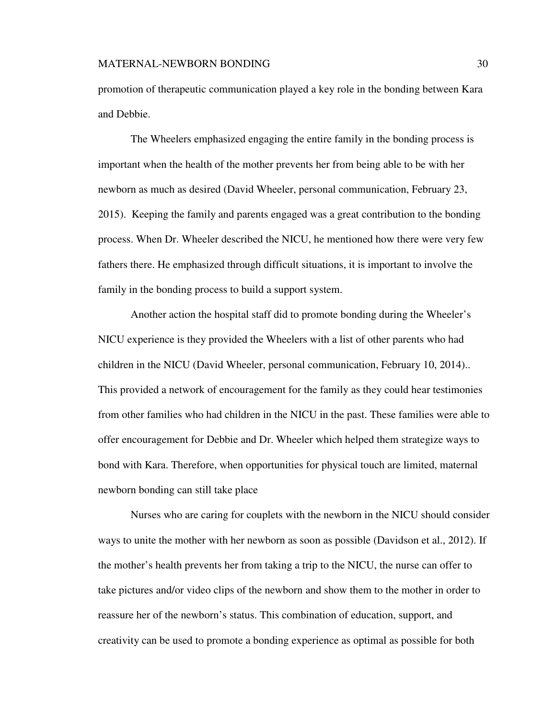promotion of therapeutic communication played a key role in the bonding between Kara and Debbie.

The Wheelers emphasized engaging the entire family in the bonding process is important when the health of the mother prevents her from being able to be with her newborn as much as desired (David Wheeler, personal communication, February 23, 2015). Keeping the family and parents engaged was a great contribution to the bonding process. When Dr. Wheeler described the NICU, he mentioned how there were very few fathers there. He emphasized through difficult situations, it is important to involve the family in the bonding process to build a support system.

Another action the hospital staff did to promote bonding during the Wheeler's NICU experience is they provided the Wheelers with a list of other parents who had children in the NICU (David Wheeler, personal communication, February 10, 2014).. This provided a network of encouragement for the family as they could hear testimonies from other families who had children in the NICU in the past. These families were able to offer encouragement for Debbie and Dr. Wheeler which helped them strategize ways to bond with Kara. Therefore, when opportunities for physical touch are limited, maternal newborn bonding can still take place

Nurses who are caring for couplets with the newborn in the NICU should consider ways to unite the mother with her newborn as soon as possible (Davidson et al., 2012). If the mother's health prevents her from taking a trip to the NICU, the nurse can offer to take pictures and/or video clips of the newborn and show them to the mother in order to reassure her of the newborn's status. This combination of education, support, and creativity can be used to promote a bonding experience as optimal as possible for both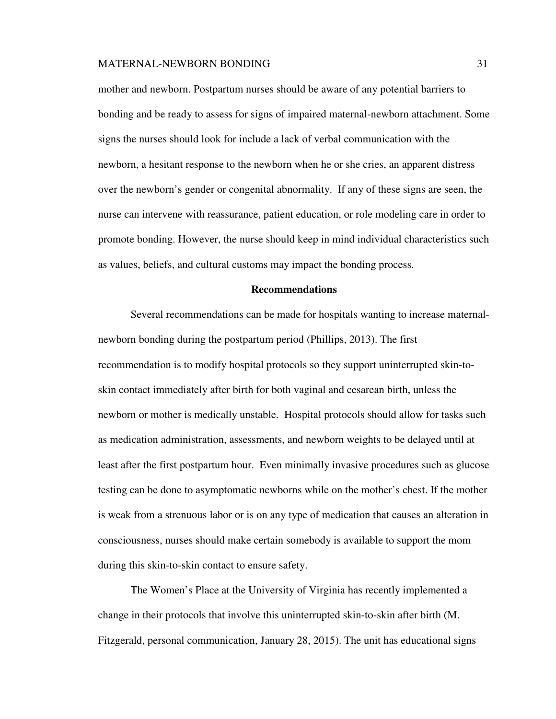mother and newborn. Postpartum nurses should be aware of any potential barriers to bonding and be ready to assess for signs of impaired maternal-newborn attachment. Some signs the nurses should look for include a lack of verbal communication with the newborn, a hesitant response to the newborn when he or she cries, an apparent distress over the newborn's gender or congenital abnormality. If any of these signs are seen, the nurse can intervene with reassurance, patient education, or role modeling care in order to promote bonding. However, the nurse should keep in mind individual characteristics such as values, beliefs, and cultural customs may impact the bonding process.

## **Recommendations**

Several recommendations can be made for hospitals wanting to increase maternalnewborn bonding during the postpartum period (Phillips, 2013). The first recommendation is to modify hospital protocols so they support uninterrupted skin-toskin contact immediately after birth for both vaginal and cesarean birth, unless the newborn or mother is medically unstable. Hospital protocols should allow for tasks such as medication administration, assessments, and newborn weights to be delayed until at least after the first postpartum hour. Even minimally invasive procedures such as glucose testing can be done to asymptomatic newborns while on the mother's chest. If the mother is weak from a strenuous labor or is on any type of medication that causes an alteration in consciousness, nurses should make certain somebody is available to support the mom during this skin-to-skin contact to ensure safety.

The Women's Place at the University of Virginia has recently implemented a change in their protocols that involve this uninterrupted skin-to-skin after birth (M. Fitzgerald, personal communication, January 28, 2015). The unit has educational signs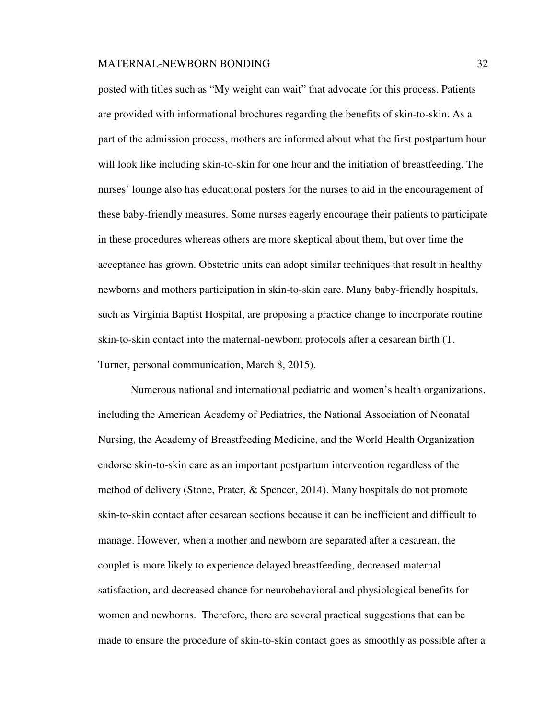posted with titles such as "My weight can wait" that advocate for this process. Patients are provided with informational brochures regarding the benefits of skin-to-skin. As a part of the admission process, mothers are informed about what the first postpartum hour will look like including skin-to-skin for one hour and the initiation of breastfeeding. The nurses' lounge also has educational posters for the nurses to aid in the encouragement of these baby-friendly measures. Some nurses eagerly encourage their patients to participate in these procedures whereas others are more skeptical about them, but over time the acceptance has grown. Obstetric units can adopt similar techniques that result in healthy newborns and mothers participation in skin-to-skin care. Many baby-friendly hospitals, such as Virginia Baptist Hospital, are proposing a practice change to incorporate routine skin-to-skin contact into the maternal-newborn protocols after a cesarean birth (T. Turner, personal communication, March 8, 2015).

Numerous national and international pediatric and women's health organizations, including the American Academy of Pediatrics, the National Association of Neonatal Nursing, the Academy of Breastfeeding Medicine, and the World Health Organization endorse skin-to-skin care as an important postpartum intervention regardless of the method of delivery (Stone, Prater, & Spencer, 2014). Many hospitals do not promote skin-to-skin contact after cesarean sections because it can be inefficient and difficult to manage. However, when a mother and newborn are separated after a cesarean, the couplet is more likely to experience delayed breastfeeding, decreased maternal satisfaction, and decreased chance for neurobehavioral and physiological benefits for women and newborns. Therefore, there are several practical suggestions that can be made to ensure the procedure of skin-to-skin contact goes as smoothly as possible after a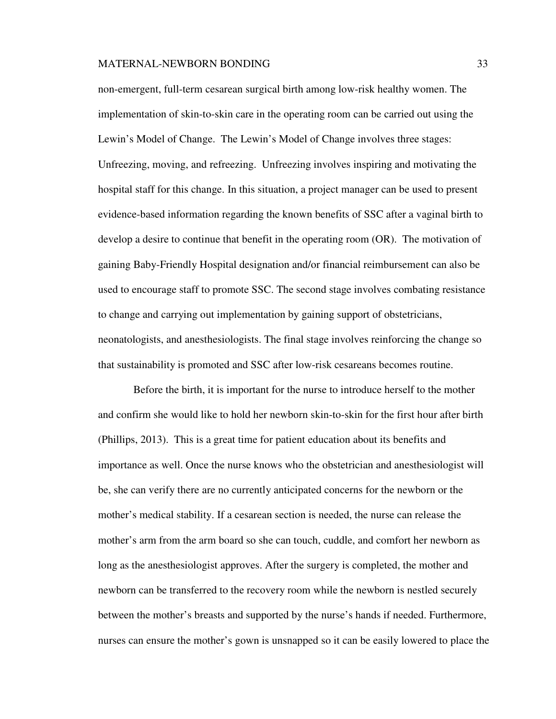non-emergent, full-term cesarean surgical birth among low-risk healthy women. The implementation of skin-to-skin care in the operating room can be carried out using the Lewin's Model of Change. The Lewin's Model of Change involves three stages: Unfreezing, moving, and refreezing. Unfreezing involves inspiring and motivating the hospital staff for this change. In this situation, a project manager can be used to present evidence-based information regarding the known benefits of SSC after a vaginal birth to develop a desire to continue that benefit in the operating room (OR). The motivation of gaining Baby-Friendly Hospital designation and/or financial reimbursement can also be used to encourage staff to promote SSC. The second stage involves combating resistance to change and carrying out implementation by gaining support of obstetricians, neonatologists, and anesthesiologists. The final stage involves reinforcing the change so that sustainability is promoted and SSC after low-risk cesareans becomes routine.

 Before the birth, it is important for the nurse to introduce herself to the mother and confirm she would like to hold her newborn skin-to-skin for the first hour after birth (Phillips, 2013). This is a great time for patient education about its benefits and importance as well. Once the nurse knows who the obstetrician and anesthesiologist will be, she can verify there are no currently anticipated concerns for the newborn or the mother's medical stability. If a cesarean section is needed, the nurse can release the mother's arm from the arm board so she can touch, cuddle, and comfort her newborn as long as the anesthesiologist approves. After the surgery is completed, the mother and newborn can be transferred to the recovery room while the newborn is nestled securely between the mother's breasts and supported by the nurse's hands if needed. Furthermore, nurses can ensure the mother's gown is unsnapped so it can be easily lowered to place the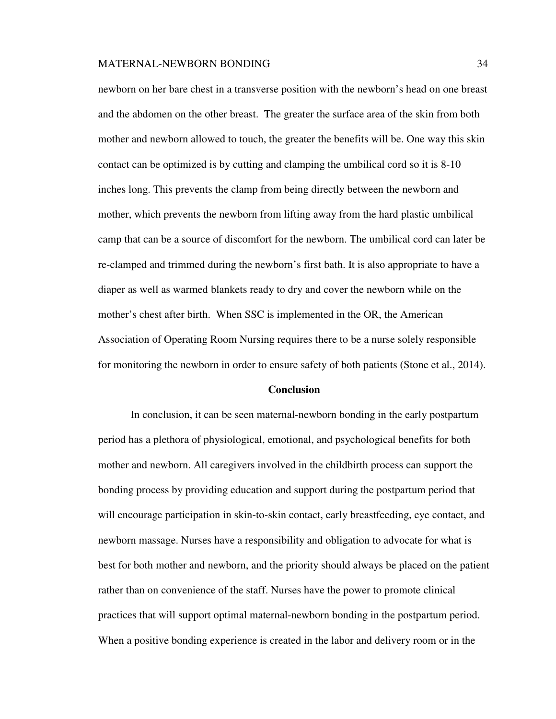newborn on her bare chest in a transverse position with the newborn's head on one breast and the abdomen on the other breast. The greater the surface area of the skin from both mother and newborn allowed to touch, the greater the benefits will be. One way this skin contact can be optimized is by cutting and clamping the umbilical cord so it is 8-10 inches long. This prevents the clamp from being directly between the newborn and mother, which prevents the newborn from lifting away from the hard plastic umbilical camp that can be a source of discomfort for the newborn. The umbilical cord can later be re-clamped and trimmed during the newborn's first bath. It is also appropriate to have a diaper as well as warmed blankets ready to dry and cover the newborn while on the mother's chest after birth. When SSC is implemented in the OR, the American Association of Operating Room Nursing requires there to be a nurse solely responsible for monitoring the newborn in order to ensure safety of both patients (Stone et al., 2014).

## **Conclusion**

In conclusion, it can be seen maternal-newborn bonding in the early postpartum period has a plethora of physiological, emotional, and psychological benefits for both mother and newborn. All caregivers involved in the childbirth process can support the bonding process by providing education and support during the postpartum period that will encourage participation in skin-to-skin contact, early breastfeeding, eye contact, and newborn massage. Nurses have a responsibility and obligation to advocate for what is best for both mother and newborn, and the priority should always be placed on the patient rather than on convenience of the staff. Nurses have the power to promote clinical practices that will support optimal maternal-newborn bonding in the postpartum period. When a positive bonding experience is created in the labor and delivery room or in the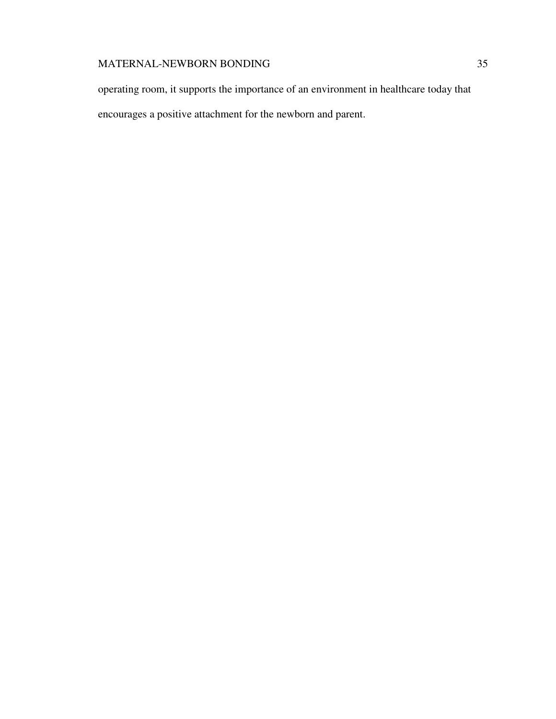operating room, it supports the importance of an environment in healthcare today that

encourages a positive attachment for the newborn and parent.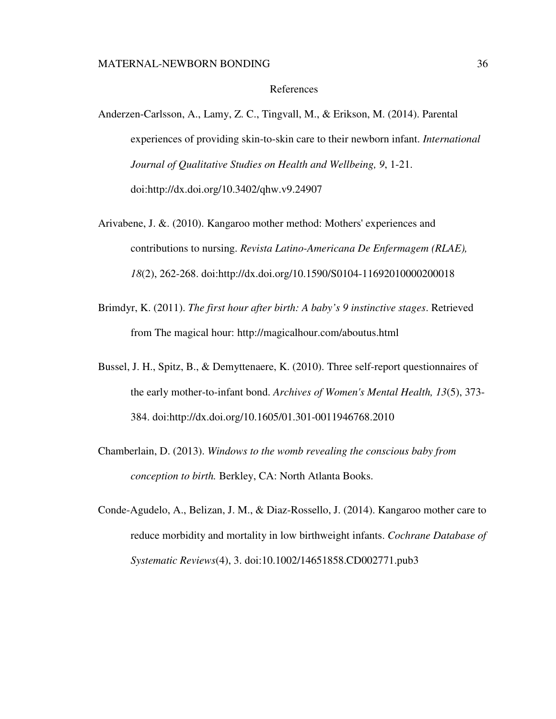#### References

- Anderzen-Carlsson, A., Lamy, Z. C., Tingvall, M., & Erikson, M. (2014). Parental experiences of providing skin-to-skin care to their newborn infant. *International Journal of Qualitative Studies on Health and Wellbeing, 9*, 1-21. doi:http://dx.doi.org/10.3402/qhw.v9.24907
- Arivabene, J. &. (2010). Kangaroo mother method: Mothers' experiences and contributions to nursing. *Revista Latino-Americana De Enfermagem (RLAE), 18*(2), 262-268. doi:http://dx.doi.org/10.1590/S0104-11692010000200018
- Brimdyr, K. (2011). *The first hour after birth: A baby's 9 instinctive stages*. Retrieved from The magical hour: http://magicalhour.com/aboutus.html
- Bussel, J. H., Spitz, B., & Demyttenaere, K. (2010). Three self-report questionnaires of the early mother-to-infant bond. *Archives of Women's Mental Health, 13*(5), 373- 384. doi:http://dx.doi.org/10.1605/01.301-0011946768.2010
- Chamberlain, D. (2013). *Windows to the womb revealing the conscious baby from conception to birth.* Berkley, CA: North Atlanta Books.
- Conde-Agudelo, A., Belizan, J. M., & Diaz-Rossello, J. (2014). Kangaroo mother care to reduce morbidity and mortality in low birthweight infants. *Cochrane Database of Systematic Reviews*(4), 3. doi:10.1002/14651858.CD002771.pub3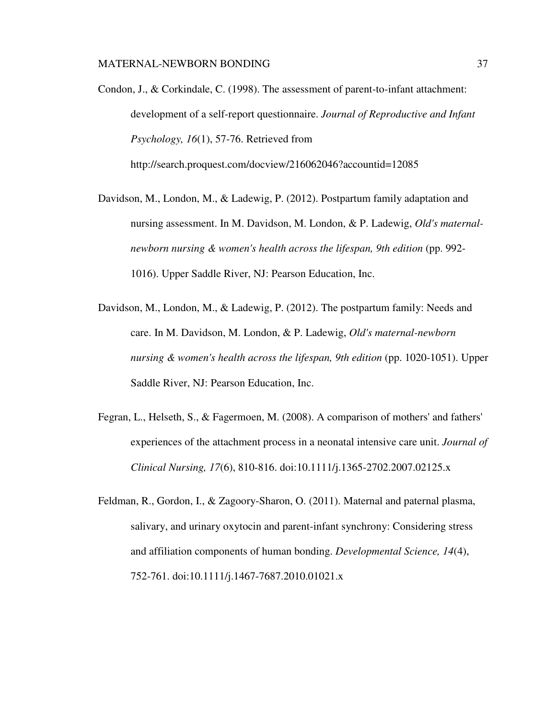- Condon, J., & Corkindale, C. (1998). The assessment of parent-to-infant attachment: development of a self-report questionnaire. *Journal of Reproductive and Infant Psychology, 16*(1), 57-76. Retrieved from http://search.proquest.com/docview/216062046?accountid=12085
- Davidson, M., London, M., & Ladewig, P. (2012). Postpartum family adaptation and nursing assessment. In M. Davidson, M. London, & P. Ladewig, *Old's maternalnewborn nursing & women's health across the lifespan, 9th edition* (pp. 992- 1016). Upper Saddle River, NJ: Pearson Education, Inc.
- Davidson, M., London, M., & Ladewig, P. (2012). The postpartum family: Needs and care. In M. Davidson, M. London, & P. Ladewig, *Old's maternal-newborn nursing & women's health across the lifespan, 9th edition* (pp. 1020-1051). Upper Saddle River, NJ: Pearson Education, Inc.
- Fegran, L., Helseth, S., & Fagermoen, M. (2008). A comparison of mothers' and fathers' experiences of the attachment process in a neonatal intensive care unit. *Journal of Clinical Nursing, 17*(6), 810-816. doi:10.1111/j.1365-2702.2007.02125.x
- Feldman, R., Gordon, I., & Zagoory-Sharon, O. (2011). Maternal and paternal plasma, salivary, and urinary oxytocin and parent-infant synchrony: Considering stress and affiliation components of human bonding. *Developmental Science, 14*(4), 752-761. doi:10.1111/j.1467-7687.2010.01021.x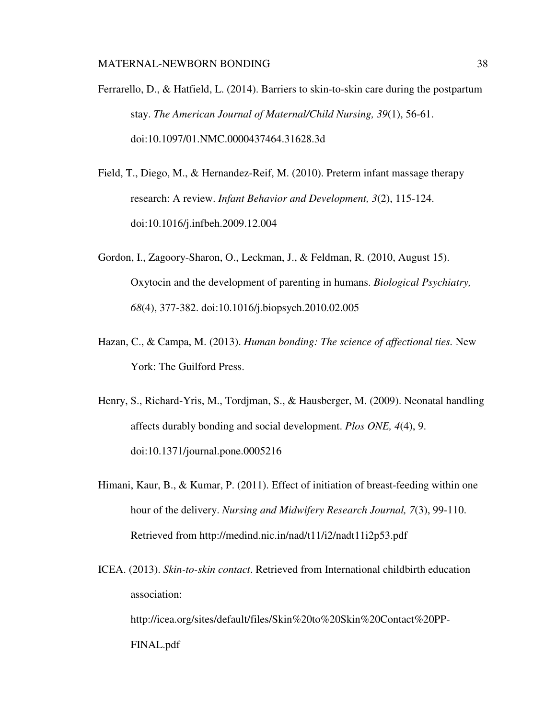Ferrarello, D., & Hatfield, L. (2014). Barriers to skin-to-skin care during the postpartum stay. *The American Journal of Maternal/Child Nursing, 39*(1), 56-61. doi:10.1097/01.NMC.0000437464.31628.3d

- Field, T., Diego, M., & Hernandez-Reif, M. (2010). Preterm infant massage therapy research: A review. *Infant Behavior and Development, 3*(2), 115-124. doi:10.1016/j.infbeh.2009.12.004
- Gordon, I., Zagoory-Sharon, O., Leckman, J., & Feldman, R. (2010, August 15). Oxytocin and the development of parenting in humans. *Biological Psychiatry, 68*(4), 377-382. doi:10.1016/j.biopsych.2010.02.005
- Hazan, C., & Campa, M. (2013). *Human bonding: The science of affectional ties.* New York: The Guilford Press.
- Henry, S., Richard-Yris, M., Tordjman, S., & Hausberger, M. (2009). Neonatal handling affects durably bonding and social development. *Plos ONE, 4*(4), 9. doi:10.1371/journal.pone.0005216
- Himani, Kaur, B., & Kumar, P. (2011). Effect of initiation of breast-feeding within one hour of the delivery. *Nursing and Midwifery Research Journal, 7*(3), 99-110. Retrieved from http://medind.nic.in/nad/t11/i2/nadt11i2p53.pdf
- ICEA. (2013). *Skin-to-skin contact*. Retrieved from International childbirth education association: http://icea.org/sites/default/files/Skin%20to%20Skin%20Contact%20PP-FINAL.pdf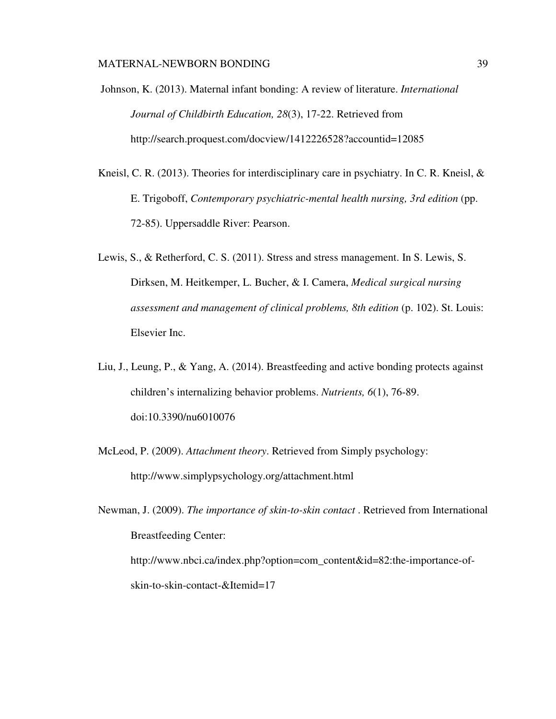Johnson, K. (2013). Maternal infant bonding: A review of literature. *International Journal of Childbirth Education, 28*(3), 17-22. Retrieved from http://search.proquest.com/docview/1412226528?accountid=12085

- Kneisl, C. R. (2013). Theories for interdisciplinary care in psychiatry. In C. R. Kneisl, & E. Trigoboff, *Contemporary psychiatric-mental health nursing, 3rd edition* (pp. 72-85). Uppersaddle River: Pearson.
- Lewis, S., & Retherford, C. S. (2011). Stress and stress management. In S. Lewis, S. Dirksen, M. Heitkemper, L. Bucher, & I. Camera, *Medical surgical nursing assessment and management of clinical problems, 8th edition* (p. 102). St. Louis: Elsevier Inc.
- Liu, J., Leung, P., & Yang, A. (2014). Breastfeeding and active bonding protects against children's internalizing behavior problems. *Nutrients, 6*(1), 76-89. doi:10.3390/nu6010076
- McLeod, P. (2009). *Attachment theory*. Retrieved from Simply psychology: http://www.simplypsychology.org/attachment.html

Newman, J. (2009). *The importance of skin-to-skin contact* . Retrieved from International Breastfeeding Center: http://www.nbci.ca/index.php?option=com\_content&id=82:the-importance-ofskin-to-skin-contact-&Itemid=17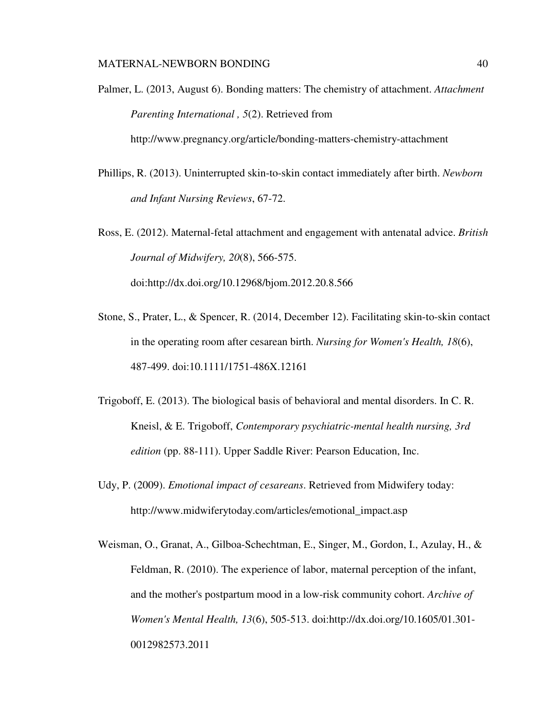Palmer, L. (2013, August 6). Bonding matters: The chemistry of attachment. *Attachment Parenting International , 5*(2). Retrieved from

http://www.pregnancy.org/article/bonding-matters-chemistry-attachment

Phillips, R. (2013). Uninterrupted skin-to-skin contact immediately after birth. *Newborn and Infant Nursing Reviews*, 67-72.

Ross, E. (2012). Maternal-fetal attachment and engagement with antenatal advice. *British Journal of Midwifery, 20*(8), 566-575. doi:http://dx.doi.org/10.12968/bjom.2012.20.8.566

- Stone, S., Prater, L., & Spencer, R. (2014, December 12). Facilitating skin-to-skin contact in the operating room after cesarean birth. *Nursing for Women's Health, 18*(6), 487-499. doi:10.1111/1751-486X.12161
- Trigoboff, E. (2013). The biological basis of behavioral and mental disorders. In C. R. Kneisl, & E. Trigoboff, *Contemporary psychiatric-mental health nursing, 3rd edition* (pp. 88-111). Upper Saddle River: Pearson Education, Inc.
- Udy, P. (2009). *Emotional impact of cesareans*. Retrieved from Midwifery today: http://www.midwiferytoday.com/articles/emotional\_impact.asp
- Weisman, O., Granat, A., Gilboa-Schechtman, E., Singer, M., Gordon, I., Azulay, H., & Feldman, R. (2010). The experience of labor, maternal perception of the infant, and the mother's postpartum mood in a low-risk community cohort. *Archive of Women's Mental Health, 13*(6), 505-513. doi:http://dx.doi.org/10.1605/01.301- 0012982573.2011